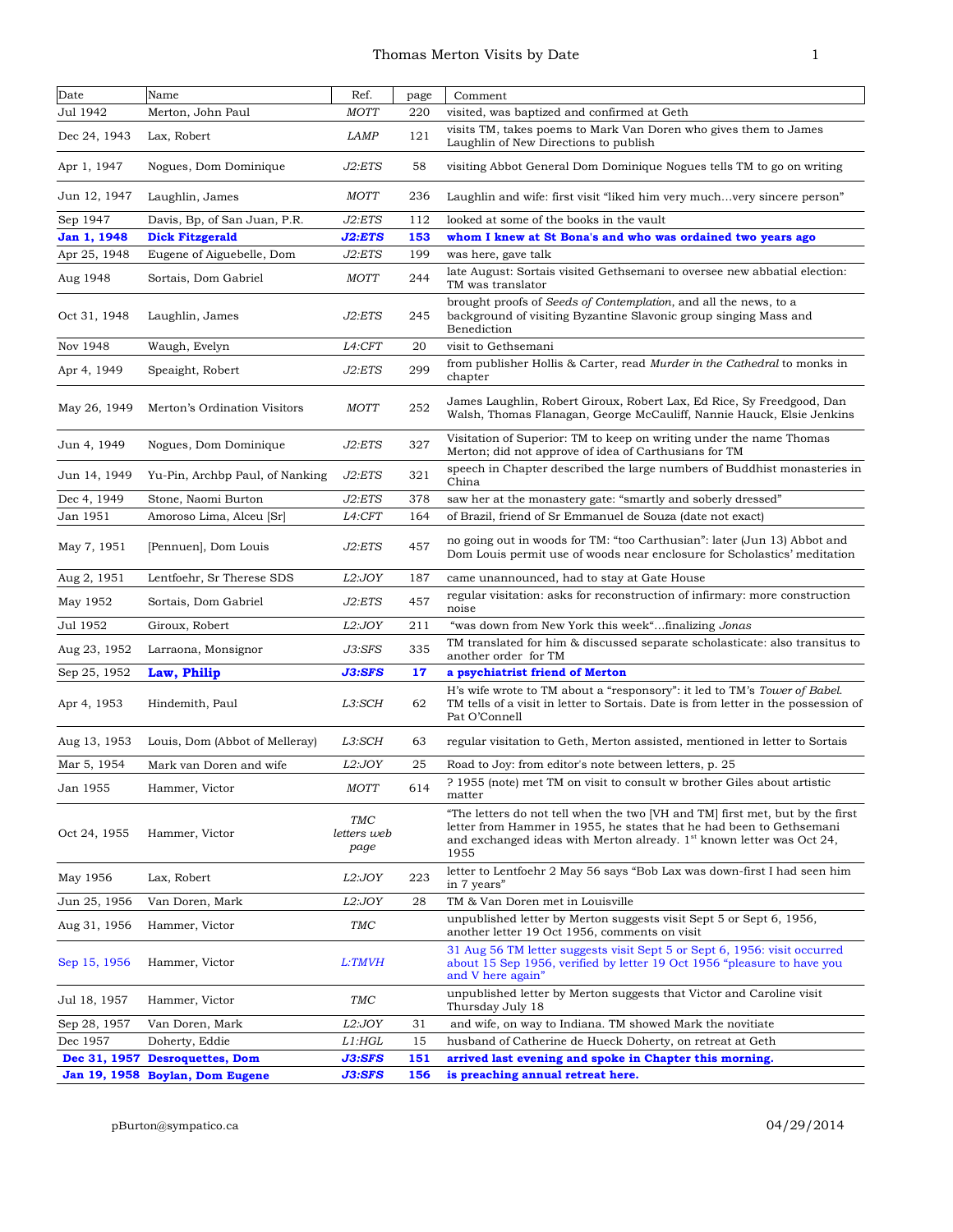| Date         | Name                            | Ref.                       | page | Comment                                                                                                                                                                                                                                  |
|--------------|---------------------------------|----------------------------|------|------------------------------------------------------------------------------------------------------------------------------------------------------------------------------------------------------------------------------------------|
| Jul 1942     | Merton, John Paul               | <b>MOTT</b>                | 220  | visited, was baptized and confirmed at Geth                                                                                                                                                                                              |
| Dec 24, 1943 | Lax, Robert                     | <b>LAMP</b>                | 121  | visits TM, takes poems to Mark Van Doren who gives them to James<br>Laughlin of New Directions to publish                                                                                                                                |
| Apr 1, 1947  | Nogues, Dom Dominique           | J2:ETS                     | 58   | visiting Abbot General Dom Dominique Nogues tells TM to go on writing                                                                                                                                                                    |
| Jun 12, 1947 | Laughlin, James                 | <b>MOTT</b>                | 236  | Laughlin and wife: first visit "liked him very muchvery sincere person"                                                                                                                                                                  |
| Sep 1947     | Davis, Bp, of San Juan, P.R.    | J2:ETS                     | 112  | looked at some of the books in the vault                                                                                                                                                                                                 |
| Jan 1, 1948  | <b>Dick Fitzgerald</b>          | J2:ETS                     | 153  | whom I knew at St Bona's and who was ordained two years ago                                                                                                                                                                              |
| Apr 25, 1948 | Eugene of Aiguebelle, Dom       | J2:ETS                     | 199  | was here, gave talk                                                                                                                                                                                                                      |
| Aug 1948     | Sortais, Dom Gabriel            | <b>MOTT</b>                | 244  | late August: Sortais visited Gethsemani to oversee new abbatial election:<br>TM was translator                                                                                                                                           |
| Oct 31, 1948 | Laughlin, James                 | J2:ETS                     | 245  | brought proofs of Seeds of Contemplation, and all the news, to a<br>background of visiting Byzantine Slavonic group singing Mass and<br>Benediction                                                                                      |
| Nov 1948     | Waugh, Evelyn                   | L4:CFT                     | 20   | visit to Gethsemani                                                                                                                                                                                                                      |
| Apr 4, 1949  | Speaight, Robert                | J2:ETS                     | 299  | from publisher Hollis & Carter, read Murder in the Cathedral to monks in<br>chapter                                                                                                                                                      |
| May 26, 1949 | Merton's Ordination Visitors    | <b>MOTT</b>                | 252  | James Laughlin, Robert Giroux, Robert Lax, Ed Rice, Sy Freedgood, Dan<br>Walsh, Thomas Flanagan, George McCauliff, Nannie Hauck, Elsie Jenkins                                                                                           |
| Jun 4, 1949  | Nogues, Dom Dominique           | J2:ETS                     | 327  | Visitation of Superior: TM to keep on writing under the name Thomas<br>Merton; did not approve of idea of Carthusians for TM                                                                                                             |
| Jun 14, 1949 | Yu-Pin, Archbp Paul, of Nanking | J2:ETS                     | 321  | speech in Chapter described the large numbers of Buddhist monasteries in<br>China                                                                                                                                                        |
| Dec 4, 1949  | Stone, Naomi Burton             | J2:ETS                     | 378  | saw her at the monastery gate: "smartly and soberly dressed"                                                                                                                                                                             |
| Jan 1951     | Amoroso Lima, Alceu [Sr]        | L <sub>4</sub> :CFT        | 164  | of Brazil, friend of Sr Emmanuel de Souza (date not exact)                                                                                                                                                                               |
| May 7, 1951  | [Pennuen], Dom Louis            | J2:ETS                     | 457  | no going out in woods for TM: "too Carthusian": later (Jun 13) Abbot and<br>Dom Louis permit use of woods near enclosure for Scholastics' meditation                                                                                     |
| Aug 2, 1951  | Lentfoehr, Sr Therese SDS       | L2:JOY                     | 187  | came unannounced, had to stay at Gate House                                                                                                                                                                                              |
| May 1952     | Sortais, Dom Gabriel            | J2:ETS                     | 457  | regular visitation: asks for reconstruction of infirmary: more construction<br>noise                                                                                                                                                     |
| Jul 1952     | Giroux, Robert                  | L2:JOY                     | 211  | "was down from New York this week"finalizing Jonas                                                                                                                                                                                       |
| Aug 23, 1952 | Larraona, Monsignor             | J3:SFS                     | 335  | TM translated for him & discussed separate scholasticate: also transitus to<br>another order for TM                                                                                                                                      |
| Sep 25, 1952 | Law, Philip                     | J3:SFS                     | 17   | a psychiatrist friend of Merton                                                                                                                                                                                                          |
| Apr 4, 1953  | Hindemith, Paul                 | L3:SCH                     | 62   | H's wife wrote to TM about a "responsory": it led to TM's Tower of Babel.<br>TM tells of a visit in letter to Sortais. Date is from letter in the possession of<br>Pat O'Connell                                                         |
| Aug 13, 1953 | Louis, Dom (Abbot of Melleray)  | L3:SCH                     | 63   | regular visitation to Geth, Merton assisted, mentioned in letter to Sortais                                                                                                                                                              |
| Mar 5, 1954  | Mark van Doren and wife         | L2:JOY                     | 25   | Road to Joy: from editor's note between letters, p. 25                                                                                                                                                                                   |
| Jan 1955     | Hammer, Victor                  | <b>MOTT</b>                | 614  | ? 1955 (note) met TM on visit to consult w brother Giles about artistic<br>matter                                                                                                                                                        |
| Oct 24, 1955 | Hammer, Victor                  | TMC<br>letters web<br>page |      | "The letters do not tell when the two [VH and TM] first met, but by the first<br>letter from Hammer in 1955, he states that he had been to Gethsemani<br>and exchanged ideas with Merton already. $1st$ known letter was Oct 24,<br>1955 |
| May 1956     | Lax, Robert                     | L2:JOY                     | 223  | letter to Lentfoehr 2 May 56 says "Bob Lax was down-first I had seen him<br>in 7 years"                                                                                                                                                  |
| Jun 25, 1956 | Van Doren, Mark                 | L2:JOY                     | 28   | TM & Van Doren met in Louisville                                                                                                                                                                                                         |
| Aug 31, 1956 | Hammer, Victor                  | TMC                        |      | unpublished letter by Merton suggests visit Sept 5 or Sept 6, 1956,<br>another letter 19 Oct 1956, comments on visit                                                                                                                     |
| Sep 15, 1956 | Hammer, Victor                  | L:TMVH                     |      | 31 Aug 56 TM letter suggests visit Sept 5 or Sept 6, 1956: visit occurred<br>about 15 Sep 1956, verified by letter 19 Oct 1956 "pleasure to have you<br>and V here again"                                                                |
| Jul 18, 1957 | Hammer, Victor                  | TMC                        |      | unpublished letter by Merton suggests that Victor and Caroline visit<br>Thursday July 18                                                                                                                                                 |
| Sep 28, 1957 | Van Doren, Mark                 | L2:JOY                     | 31   | and wife, on way to Indiana. TM showed Mark the novitiate                                                                                                                                                                                |
| Dec 1957     | Doherty, Eddie                  | L1:HGL                     | 15   | husband of Catherine de Hueck Doherty, on retreat at Geth                                                                                                                                                                                |
|              | Dec 31, 1957 Desroquettes, Dom  | J3:SFS                     | 151  | arrived last evening and spoke in Chapter this morning.                                                                                                                                                                                  |
|              | Jan 19, 1958 Boylan, Dom Eugene | J3:SFS                     | 156  | is preaching annual retreat here.                                                                                                                                                                                                        |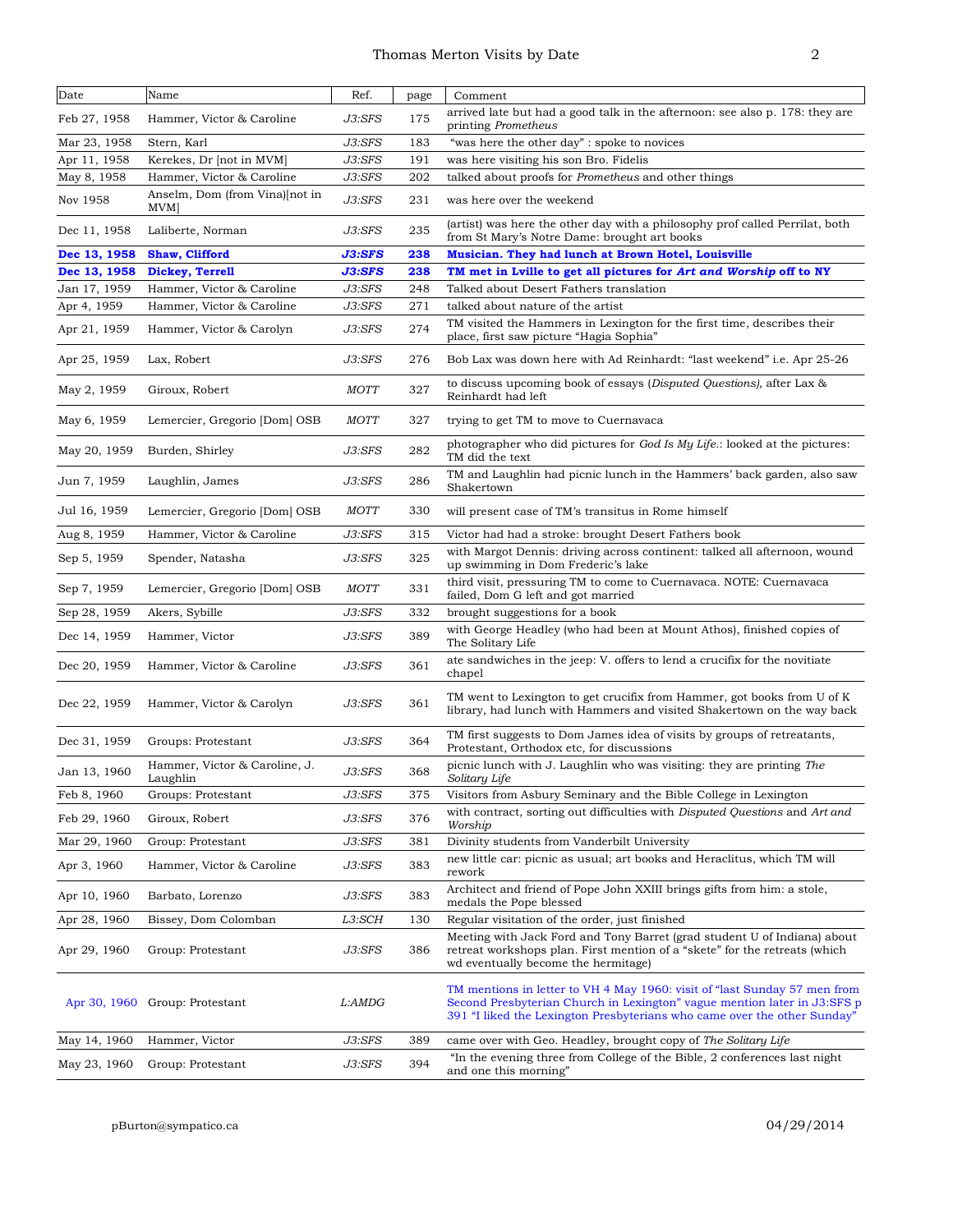| Date         | Name                                      | Ref.        | page | Comment                                                                                                                                                                                                                           |
|--------------|-------------------------------------------|-------------|------|-----------------------------------------------------------------------------------------------------------------------------------------------------------------------------------------------------------------------------------|
| Feb 27, 1958 | Hammer, Victor & Caroline                 | J3:SFS      | 175  | arrived late but had a good talk in the afternoon: see also p. 178: they are<br>printing Prometheus                                                                                                                               |
| Mar 23, 1958 | Stern, Karl                               | J3:SFS      | 183  | "was here the other day" : spoke to novices                                                                                                                                                                                       |
| Apr 11, 1958 | Kerekes, Dr [not in MVM]                  | J3:SFS      | 191  | was here visiting his son Bro. Fidelis                                                                                                                                                                                            |
| May 8, 1958  | Hammer, Victor & Caroline                 | J3:SFS      | 202  | talked about proofs for Prometheus and other things                                                                                                                                                                               |
| Nov 1958     | Anselm, Dom (from Vina)[not in<br>MVM     | J3:SFS      | 231  | was here over the weekend                                                                                                                                                                                                         |
| Dec 11, 1958 | Laliberte, Norman                         | J3:SFS      | 235  | (artist) was here the other day with a philosophy prof called Perrilat, both<br>from St Mary's Notre Dame: brought art books                                                                                                      |
| Dec 13, 1958 | <b>Shaw, Clifford</b>                     | J3:SFS      | 238  | Musician. They had lunch at Brown Hotel, Louisville                                                                                                                                                                               |
| Dec 13, 1958 | Dickey, Terrell                           | J3:SFS      | 238  | TM met in Lville to get all pictures for Art and Worship off to NY                                                                                                                                                                |
| Jan 17, 1959 | Hammer, Victor & Caroline                 | J3:SFS      | 248  | Talked about Desert Fathers translation                                                                                                                                                                                           |
| Apr 4, 1959  | Hammer, Victor & Caroline                 | J3:SFS      | 271  | talked about nature of the artist<br>TM visited the Hammers in Lexington for the first time, describes their                                                                                                                      |
| Apr 21, 1959 | Hammer, Victor & Carolyn                  | J3:SFS      | 274  | place, first saw picture "Hagia Sophia"                                                                                                                                                                                           |
| Apr 25, 1959 | Lax, Robert                               | J3:SFS      | 276  | Bob Lax was down here with Ad Reinhardt: "last weekend" i.e. Apr 25-26                                                                                                                                                            |
| May 2, 1959  | Giroux, Robert                            | <b>MOTT</b> | 327  | to discuss upcoming book of essays (Disputed Questions), after Lax &<br>Reinhardt had left                                                                                                                                        |
| May 6, 1959  | Lemercier, Gregorio [Dom] OSB             | <b>MOTT</b> | 327  | trying to get TM to move to Cuernavaca                                                                                                                                                                                            |
| May 20, 1959 | Burden, Shirley                           | J3:SFS      | 282  | photographer who did pictures for God Is My Life.: looked at the pictures:<br>TM did the text                                                                                                                                     |
| Jun 7, 1959  | Laughlin, James                           | J3:SFS      | 286  | TM and Laughlin had picnic lunch in the Hammers' back garden, also saw<br>Shakertown                                                                                                                                              |
| Jul 16, 1959 | Lemercier, Gregorio [Dom] OSB             | <i>MOTT</i> | 330  | will present case of TM's transitus in Rome himself                                                                                                                                                                               |
| Aug 8, 1959  | Hammer, Victor & Caroline                 | J3:SFS      | 315  | Victor had had a stroke: brought Desert Fathers book                                                                                                                                                                              |
| Sep 5, 1959  | Spender, Natasha                          | J3:SFS      | 325  | with Margot Dennis: driving across continent: talked all afternoon, wound<br>up swimming in Dom Frederic's lake                                                                                                                   |
| Sep 7, 1959  | Lemercier, Gregorio [Dom] OSB             | <b>MOTT</b> | 331  | third visit, pressuring TM to come to Cuernavaca. NOTE: Cuernavaca<br>failed, Dom G left and got married                                                                                                                          |
| Sep 28, 1959 | Akers, Sybille                            | J3:SFS      | 332  | brought suggestions for a book                                                                                                                                                                                                    |
| Dec 14, 1959 | Hammer, Victor                            | J3:SFS      | 389  | with George Headley (who had been at Mount Athos), finished copies of<br>The Solitary Life                                                                                                                                        |
| Dec 20, 1959 | Hammer, Victor & Caroline                 | J3:SFS      | 361  | ate sandwiches in the jeep: V. offers to lend a crucifix for the novitiate<br>chapel                                                                                                                                              |
| Dec 22, 1959 | Hammer, Victor & Carolyn                  | J3:SFS      | 361  | TM went to Lexington to get crucifix from Hammer, got books from U of K<br>library, had lunch with Hammers and visited Shakertown on the way back                                                                                 |
| Dec 31, 1959 | Groups: Protestant                        | J3:SFS      | 364  | TM first suggests to Dom James idea of visits by groups of retreatants,<br>Protestant, Orthodox etc, for discussions                                                                                                              |
| Jan 13, 1960 | Hammer, Victor & Caroline, J.<br>Laughlin | J3:SFS      | 368  | picnic lunch with J. Laughlin who was visiting: they are printing The<br>Solitary Life                                                                                                                                            |
| Feb 8, 1960  | Groups: Protestant                        | J3:SFS      | 375  | Visitors from Asbury Seminary and the Bible College in Lexington                                                                                                                                                                  |
| Feb 29, 1960 | Giroux, Robert                            | J3:SFS      | 376  | with contract, sorting out difficulties with Disputed Questions and Art and<br>Worship                                                                                                                                            |
| Mar 29, 1960 | Group: Protestant                         | J3:SFS      | 381  | Divinity students from Vanderbilt University                                                                                                                                                                                      |
| Apr 3, 1960  | Hammer, Victor & Caroline                 | J3:SFS      | 383  | new little car: picnic as usual; art books and Heraclitus, which TM will<br>rework                                                                                                                                                |
| Apr 10, 1960 | Barbato, Lorenzo                          | J3:SFS      | 383  | Architect and friend of Pope John XXIII brings gifts from him: a stole,<br>medals the Pope blessed                                                                                                                                |
| Apr 28, 1960 | Bissey, Dom Colomban                      | L3:SCH      | 130  | Regular visitation of the order, just finished                                                                                                                                                                                    |
| Apr 29, 1960 | Group: Protestant                         | J3:SFS      | 386  | Meeting with Jack Ford and Tony Barret (grad student U of Indiana) about<br>retreat workshops plan. First mention of a "skete" for the retreats (which<br>wd eventually become the hermitage)                                     |
| Apr 30, 1960 | Group: Protestant                         | L:AMDG      |      | TM mentions in letter to VH 4 May 1960: visit of "last Sunday 57 men from<br>Second Presbyterian Church in Lexington" vague mention later in J3:SFS p<br>391 "I liked the Lexington Presbyterians who came over the other Sunday" |
| May 14, 1960 | Hammer, Victor                            | J3:SFS      | 389  | came over with Geo. Headley, brought copy of The Solitary Life                                                                                                                                                                    |
| May 23, 1960 | Group: Protestant                         | J3:SFS      | 394  | "In the evening three from College of the Bible, 2 conferences last night<br>and one this morning"                                                                                                                                |
|              |                                           |             |      |                                                                                                                                                                                                                                   |

pBurton@sympatico.ca 04/29/2014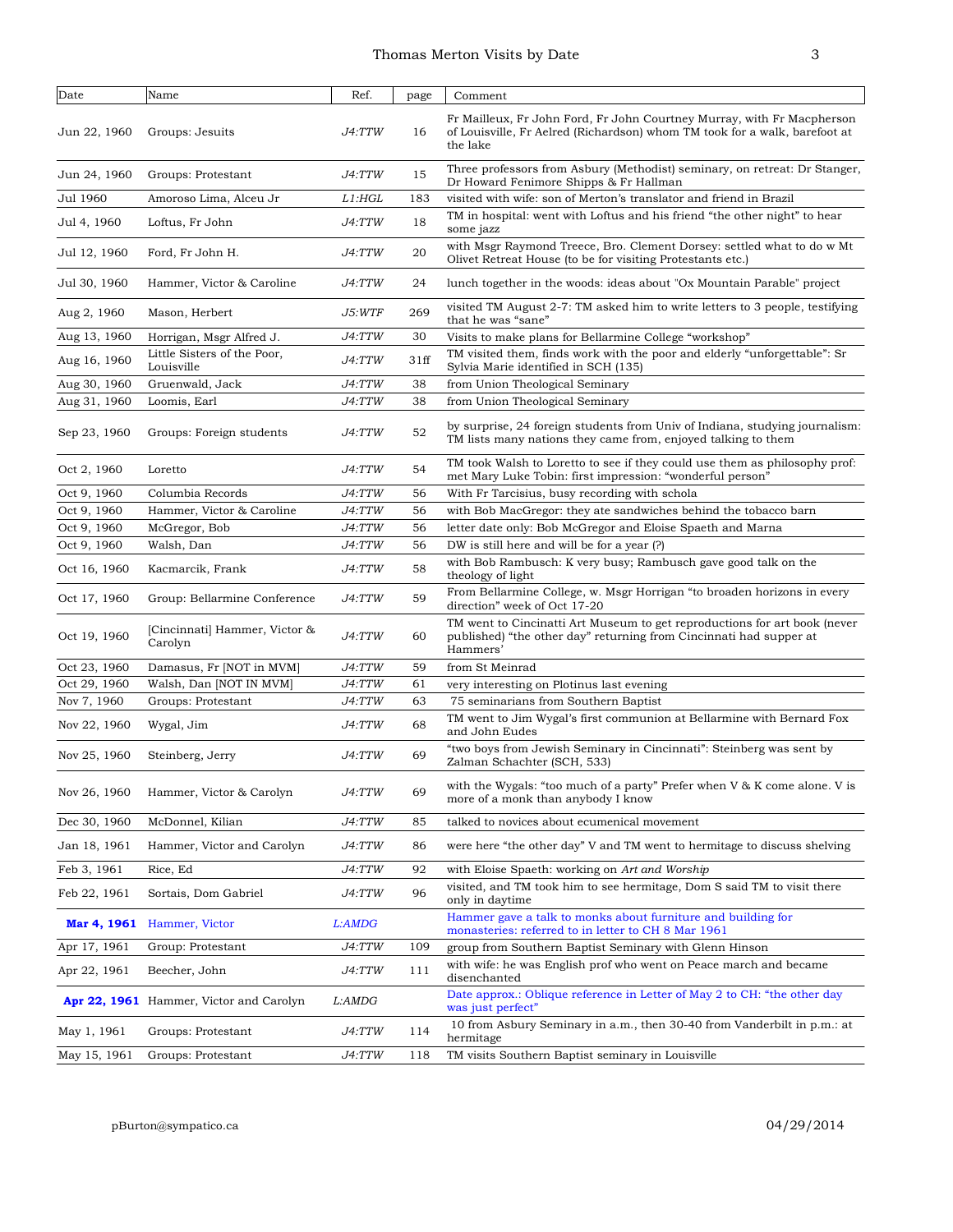| Thomas Merton Visits by Date |  |
|------------------------------|--|
|                              |  |

| Date         | Name                                      | Ref.                 | page | Comment                                                                                                                                                          |
|--------------|-------------------------------------------|----------------------|------|------------------------------------------------------------------------------------------------------------------------------------------------------------------|
| Jun 22, 1960 | Groups: Jesuits                           | J4:TTW               | 16   | Fr Mailleux, Fr John Ford, Fr John Courtney Murray, with Fr Macpherson<br>of Louisville, Fr Aelred (Richardson) whom TM took for a walk, barefoot at<br>the lake |
| Jun 24, 1960 | Groups: Protestant                        | J4:TTW               | 15   | Three professors from Asbury (Methodist) seminary, on retreat: Dr Stanger,<br>Dr Howard Fenimore Shipps & Fr Hallman                                             |
| Jul 1960     | Amoroso Lima, Alceu Jr                    | L1: HGL              | 183  | visited with wife: son of Merton's translator and friend in Brazil                                                                                               |
| Jul 4, 1960  | Loftus, Fr John                           | J4:TTW               | 18   | TM in hospital: went with Loftus and his friend "the other night" to hear<br>some jazz                                                                           |
| Jul 12, 1960 | Ford, Fr John H.                          | J4:TTW               | 20   | with Msgr Raymond Treece, Bro. Clement Dorsey: settled what to do w Mt<br>Olivet Retreat House (to be for visiting Protestants etc.)                             |
| Jul 30, 1960 | Hammer, Victor & Caroline                 | J4:TTW               | 24   | lunch together in the woods: ideas about "Ox Mountain Parable" project                                                                                           |
| Aug 2, 1960  | Mason, Herbert                            | J5:WTF               | 269  | visited TM August 2-7: TM asked him to write letters to 3 people, testifying<br>that he was "sane"                                                               |
| Aug 13, 1960 | Horrigan, Msgr Alfred J.                  | J4:TTW               | 30   | Visits to make plans for Bellarmine College "workshop"                                                                                                           |
| Aug 16, 1960 | Little Sisters of the Poor,<br>Louisville | J4:TTW               | 31ff | TM visited them, finds work with the poor and elderly "unforgettable": Sr<br>Sylvia Marie identified in SCH (135)                                                |
| Aug 30, 1960 | Gruenwald, Jack                           | J4:TTW               | 38   | from Union Theological Seminary                                                                                                                                  |
| Aug 31, 1960 | Loomis, Earl                              | J4:TTW               | 38   | from Union Theological Seminary                                                                                                                                  |
| Sep 23, 1960 | Groups: Foreign students                  | J4:TTW               | 52   | by surprise, 24 foreign students from Univ of Indiana, studying journalism:<br>TM lists many nations they came from, enjoyed talking to them                     |
| Oct 2, 1960  | Loretto                                   | J4:TTW               | 54   | TM took Walsh to Loretto to see if they could use them as philosophy prof:<br>met Mary Luke Tobin: first impression: "wonderful person"                          |
| Oct 9, 1960  | Columbia Records                          | J4:TTW               | 56   | With Fr Tarcisius, busy recording with schola                                                                                                                    |
| Oct 9, 1960  | Hammer, Victor & Caroline                 | J4:TTW               | 56   | with Bob MacGregor: they ate sandwiches behind the tobacco barn                                                                                                  |
| Oct 9, 1960  | McGregor, Bob                             | J4:TTW               | 56   | letter date only: Bob McGregor and Eloise Spaeth and Marna                                                                                                       |
| Oct 9, 1960  | Walsh, Dan                                | J4:TTW               | 56   | DW is still here and will be for a year (?)                                                                                                                      |
| Oct 16, 1960 | Kacmarcik, Frank                          | J4:TTW               | 58   | with Bob Rambusch: K very busy; Rambusch gave good talk on the<br>theology of light                                                                              |
| Oct 17, 1960 | Group: Bellarmine Conference              | J4:TTW               | 59   | From Bellarmine College, w. Msgr Horrigan "to broaden horizons in every<br>direction" week of Oct 17-20                                                          |
| Oct 19, 1960 | [Cincinnati] Hammer, Victor &<br>Carolyn  | <i>J4:TTW</i>        | 60   | TM went to Cincinatti Art Museum to get reproductions for art book (never<br>published) "the other day" returning from Cincinnati had supper at<br>Hammers'      |
| Oct 23, 1960 | Damasus, Fr [NOT in MVM]                  | J4:TTW               | 59   | from St Meinrad                                                                                                                                                  |
| Oct 29, 1960 | Walsh, Dan [NOT IN MVM]                   | J4:TTW               | 61   | very interesting on Plotinus last evening                                                                                                                        |
| Nov 7, 1960  | Groups: Protestant                        | J4:TTW               | 63   | 75 seminarians from Southern Baptist                                                                                                                             |
| Nov 22, 1960 | Wygal, Jim                                | J4:TTW               | 68   | TM went to Jim Wygal's first communion at Bellarmine with Bernard Fox<br>and John Eudes                                                                          |
| Nov 25, 1960 | Steinberg, Jerry                          | J4:TTW               | 69   | "two boys from Jewish Seminary in Cincinnati": Steinberg was sent by<br>Zalman Schachter (SCH, 533)                                                              |
| Nov 26, 1960 | Hammer, Victor & Carolyn                  | <i>J4:TTW</i>        | 69   | with the Wygals: "too much of a party" Prefer when $V \& K$ come alone. V is<br>more of a monk than anybody I know                                               |
| Dec 30, 1960 | McDonnel, Kilian                          | <i>J4:TTW</i>        | 85   | talked to novices about ecumenical movement                                                                                                                      |
| Jan 18, 1961 | Hammer, Victor and Carolyn                | J4:TTW               | 86   | were here "the other day" V and TM went to hermitage to discuss shelving                                                                                         |
| Feb 3, 1961  | Rice, Ed                                  | J4:TTW               | 92   | with Eloise Spaeth: working on Art and Worship                                                                                                                   |
| Feb 22, 1961 | Sortais, Dom Gabriel                      | <i>J4:TTW</i>        | 96   | visited, and TM took him to see hermitage, Dom S said TM to visit there<br>only in daytime                                                                       |
| Mar 4, 1961  | Hammer, Victor                            | L:AMDG               |      | Hammer gave a talk to monks about furniture and building for<br>monasteries: referred to in letter to CH 8 Mar 1961                                              |
| Apr 17, 1961 | Group: Protestant                         | <i>J4:TTW</i>        | 109  | group from Southern Baptist Seminary with Glenn Hinson                                                                                                           |
| Apr 22, 1961 | Beecher, John                             | <i>J4:TTW</i>        | 111  | with wife: he was English prof who went on Peace march and became<br>disenchanted                                                                                |
|              | Apr 22, 1961 Hammer, Victor and Carolyn   | L:AMDG               |      | Date approx.: Oblique reference in Letter of May 2 to CH: "the other day<br>was just perfect"                                                                    |
| May 1, 1961  | Groups: Protestant                        | <i><b>J4:TTW</b></i> | 114  | 10 from Asbury Seminary in a.m., then 30-40 from Vanderbilt in p.m.: at<br>hermitage                                                                             |
| May 15, 1961 | Groups: Protestant                        | J4:TTW               | 118  | TM visits Southern Baptist seminary in Louisville                                                                                                                |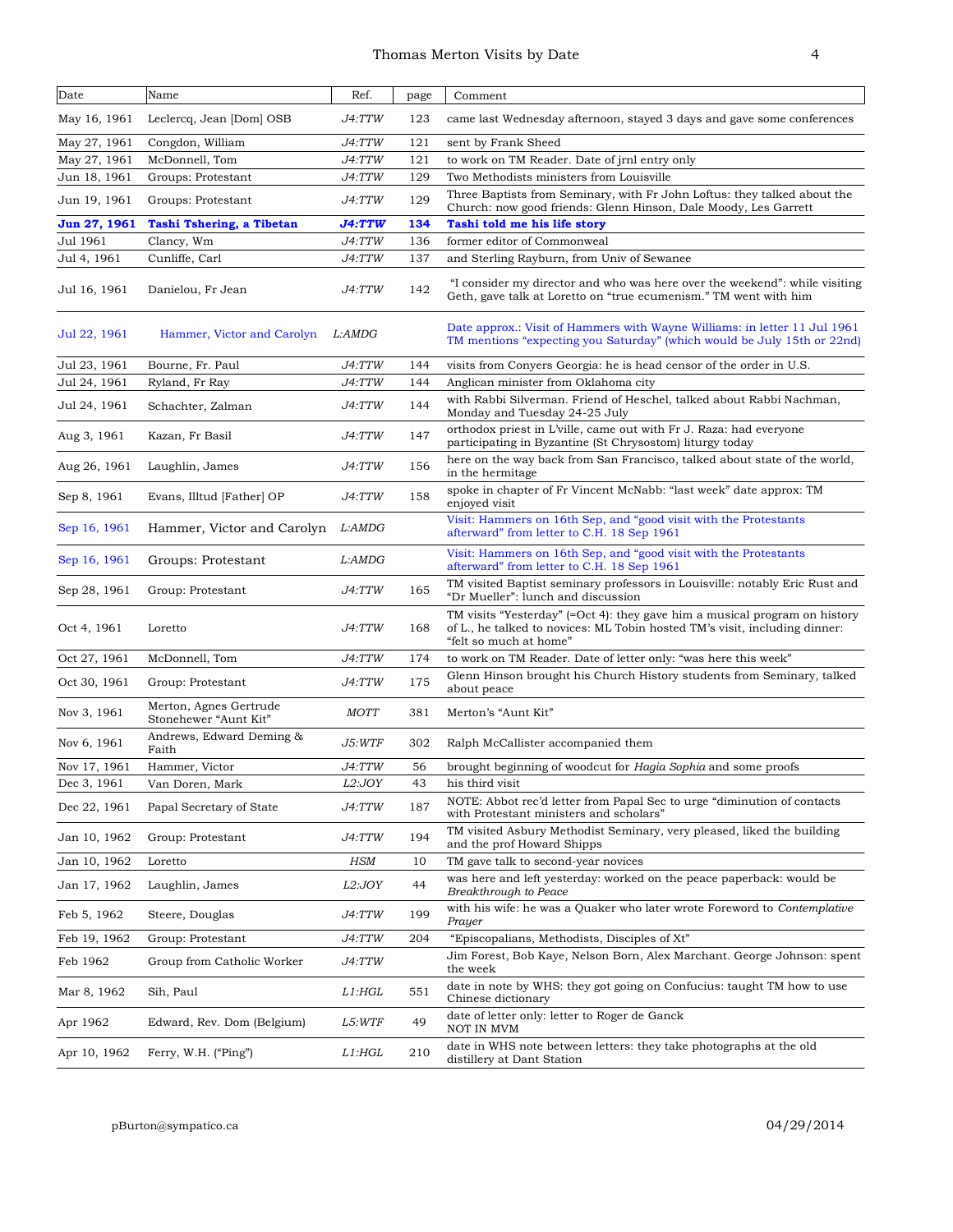| Date         | Name                                            | Ref.          | page | Comment                                                                                                                                                                            |
|--------------|-------------------------------------------------|---------------|------|------------------------------------------------------------------------------------------------------------------------------------------------------------------------------------|
| May 16, 1961 | Leclercq, Jean [Dom] OSB                        | J4:TTW        | 123  | came last Wednesday afternoon, stayed 3 days and gave some conferences                                                                                                             |
| May 27, 1961 | Congdon, William                                | J4:TTW        | 121  | sent by Frank Sheed                                                                                                                                                                |
| May 27, 1961 | McDonnell, Tom                                  | J4:TTW        | 121  | to work on TM Reader. Date of jrnl entry only                                                                                                                                      |
| Jun 18, 1961 | Groups: Protestant                              | J4:TTW        | 129  | Two Methodists ministers from Louisville                                                                                                                                           |
| Jun 19, 1961 | Groups: Protestant                              | J4:TTW        | 129  | Three Baptists from Seminary, with Fr John Loftus: they talked about the<br>Church: now good friends: Glenn Hinson, Dale Moody, Les Garrett                                        |
| Jun 27, 1961 | <b>Tashi Tshering, a Tibetan</b>                | <b>J4:TTW</b> | 134  | Tashi told me his life story                                                                                                                                                       |
| Jul 1961     | Clancy, Wm                                      | J4:TTW        | 136  | former editor of Commonweal                                                                                                                                                        |
| Jul 4, 1961  | Cunliffe, Carl                                  | J4:TTW        | 137  | and Sterling Rayburn, from Univ of Sewanee                                                                                                                                         |
| Jul 16, 1961 | Danielou, Fr Jean                               | J4:TTW        | 142  | "I consider my director and who was here over the weekend": while visiting<br>Geth, gave talk at Loretto on "true ecumenism." TM went with him                                     |
| Jul 22, 1961 | Hammer, Victor and Carolyn                      | L:AMDG        |      | Date approx.: Visit of Hammers with Wayne Williams: in letter 11 Jul 1961<br>TM mentions "expecting you Saturday" (which would be July 15th or 22nd)                               |
| Jul 23, 1961 | Bourne, Fr. Paul                                | J4:TTW        | 144  | visits from Conyers Georgia: he is head censor of the order in U.S.                                                                                                                |
| Jul 24, 1961 | Ryland, Fr Ray                                  | J4:TTW        | 144  | Anglican minister from Oklahoma city                                                                                                                                               |
| Jul 24, 1961 | Schachter, Zalman                               | J4:TTW        | 144  | with Rabbi Silverman. Friend of Heschel, talked about Rabbi Nachman,<br>Monday and Tuesday 24-25 July                                                                              |
| Aug 3, 1961  | Kazan, Fr Basil                                 | J4:TTW        | 147  | orthodox priest in L'ville, came out with Fr J. Raza: had everyone<br>participating in Byzantine (St Chrysostom) liturgy today                                                     |
| Aug 26, 1961 | Laughlin, James                                 | J4:TTW        | 156  | here on the way back from San Francisco, talked about state of the world,<br>in the hermitage.                                                                                     |
| Sep 8, 1961  | Evans, Illtud [Father] OP                       | J4:TTW        | 158  | spoke in chapter of Fr Vincent McNabb: "last week" date approx: TM<br>enjoyed visit                                                                                                |
| Sep 16, 1961 | Hammer, Victor and Carolyn L:AMDG               |               |      | Visit: Hammers on 16th Sep, and "good visit with the Protestants<br>afterward" from letter to C.H. 18 Sep 1961                                                                     |
| Sep 16, 1961 | Groups: Protestant                              | L:AMDG        |      | Visit: Hammers on 16th Sep, and "good visit with the Protestants<br>afterward" from letter to C.H. 18 Sep 1961                                                                     |
| Sep 28, 1961 | Group: Protestant                               | J4:TTW        | 165  | TM visited Baptist seminary professors in Louisville: notably Eric Rust and<br>"Dr Mueller": lunch and discussion                                                                  |
| Oct 4, 1961  | Loretto                                         | J4:TTW        | 168  | TM visits "Yesterday" (=Oct 4): they gave him a musical program on history<br>of L., he talked to novices: ML Tobin hosted TM's visit, including dinner:<br>"felt so much at home" |
| Oct 27, 1961 | McDonnell, Tom                                  | J4:TTW        | 174  | to work on TM Reader. Date of letter only: "was here this week"                                                                                                                    |
| Oct 30, 1961 | Group: Protestant                               | J4:TTW        | 175  | Glenn Hinson brought his Church History students from Seminary, talked<br>about peace                                                                                              |
| Nov 3, 1961  | Merton, Agnes Gertrude<br>Stonehewer "Aunt Kit" | <b>MOTT</b>   | 381  | Merton's "Aunt Kit"                                                                                                                                                                |
| Nov 6, 1961  | Andrews, Edward Deming &<br>Faith               | J5:WTF        | 302  | Ralph McCallister accompanied them                                                                                                                                                 |
| Nov 17, 1961 | Hammer, Victor                                  | J4:TTW        | 56   | brought beginning of woodcut for Hagia Sophia and some proofs                                                                                                                      |
| Dec 3, 1961  | Van Doren, Mark                                 | <i>L2:JOY</i> | 43   | his third visit                                                                                                                                                                    |
| Dec 22, 1961 | Papal Secretary of State                        | J4:TTW        | 187  | NOTE: Abbot rec'd letter from Papal Sec to urge "diminution of contacts"<br>with Protestant ministers and scholars"                                                                |
| Jan 10, 1962 | Group: Protestant                               | J4:TTW        | 194  | TM visited Asbury Methodist Seminary, very pleased, liked the building<br>and the prof Howard Shipps                                                                               |
| Jan 10, 1962 | Loretto                                         | HSM           | 10   | TM gave talk to second-year novices                                                                                                                                                |
| Jan 17, 1962 | Laughlin, James                                 | L2:JOY        | 44   | was here and left yesterday: worked on the peace paperback: would be<br>Breakthrough to Peace                                                                                      |
| Feb 5, 1962  | Steere, Douglas                                 | J4:TTW        | 199  | with his wife: he was a Quaker who later wrote Foreword to Contemplative<br>Prayer                                                                                                 |
| Feb 19, 1962 | Group: Protestant                               | J4:TTW        | 204  | "Episcopalians, Methodists, Disciples of Xt"                                                                                                                                       |
| Feb 1962     | Group from Catholic Worker                      | J4:TTW        |      | Jim Forest, Bob Kaye, Nelson Born, Alex Marchant. George Johnson: spent<br>the week                                                                                                |
| Mar 8, 1962  | Sih, Paul                                       | L1:HGL        | 551  | date in note by WHS: they got going on Confucius: taught TM how to use<br>Chinese dictionary                                                                                       |
| Apr 1962     | Edward, Rev. Dom (Belgium)                      | L5:WTF        | 49   | date of letter only: letter to Roger de Ganck<br>NOT IN MVM                                                                                                                        |
| Apr 10, 1962 | Ferry, W.H. ("Ping")                            | L1:HGL        | 210  | date in WHS note between letters: they take photographs at the old<br>distillery at Dant Station                                                                                   |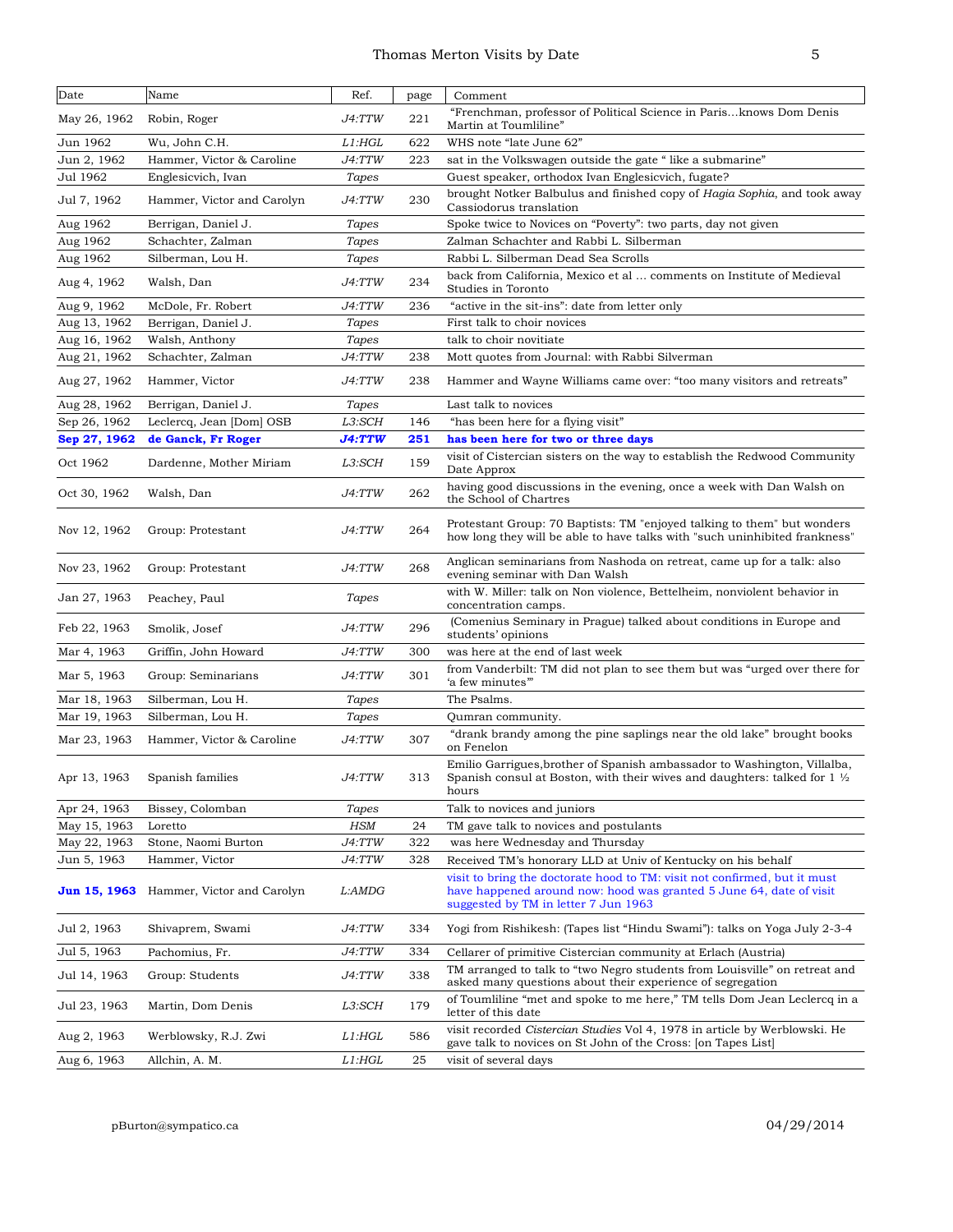| Date         | Name                       | Ref.          | page | Comment                                                                                                                                                                                  |
|--------------|----------------------------|---------------|------|------------------------------------------------------------------------------------------------------------------------------------------------------------------------------------------|
| May 26, 1962 | Robin, Roger               | J4:TTW        | 221  | "Frenchman, professor of Political Science in Parisknows Dom Denis<br>Martin at Toumliline"                                                                                              |
| Jun 1962     | Wu, John C.H.              | L1:HGL        | 622  | WHS note "late June 62"                                                                                                                                                                  |
| Jun 2, 1962  | Hammer, Victor & Caroline  | J4:TTW        | 223  | sat in the Volkswagen outside the gate "like a submarine"                                                                                                                                |
| Jul 1962     | Englesicvich, Ivan         | Tapes         |      | Guest speaker, orthodox Ivan Englesicvich, fugate?                                                                                                                                       |
| Jul 7, 1962  | Hammer, Victor and Carolyn | J4:TTW        | 230  | brought Notker Balbulus and finished copy of Hagia Sophia, and took away<br>Cassiodorus translation                                                                                      |
| Aug 1962     | Berrigan, Daniel J.        | Tapes         |      | Spoke twice to Novices on "Poverty": two parts, day not given                                                                                                                            |
| Aug 1962     | Schachter, Zalman          | Tapes         |      | Zalman Schachter and Rabbi L. Silberman                                                                                                                                                  |
| Aug 1962     | Silberman, Lou H.          | Tapes         |      | Rabbi L. Silberman Dead Sea Scrolls                                                                                                                                                      |
| Aug 4, 1962  | Walsh, Dan                 | <i>J4:TTW</i> | 234  | back from California, Mexico et al  comments on Institute of Medieval<br>Studies in Toronto                                                                                              |
| Aug 9, 1962  | McDole, Fr. Robert         | J4:TTW        | 236  | "active in the sit-ins": date from letter only                                                                                                                                           |
| Aug 13, 1962 | Berrigan, Daniel J.        | Tapes         |      | First talk to choir novices                                                                                                                                                              |
| Aug 16, 1962 | Walsh, Anthony             | Tapes         |      | talk to choir novitiate                                                                                                                                                                  |
| Aug 21, 1962 | Schachter, Zalman          | J4:TTW        | 238  | Mott quotes from Journal: with Rabbi Silverman                                                                                                                                           |
| Aug 27, 1962 | Hammer, Victor             | J4:TTW        | 238  | Hammer and Wayne Williams came over: "too many visitors and retreats"                                                                                                                    |
| Aug 28, 1962 | Berrigan, Daniel J.        | Tapes         |      | Last talk to novices                                                                                                                                                                     |
| Sep 26, 1962 | Leclercq, Jean [Dom] OSB   | L3:SCH        | 146  | "has been here for a flying visit"                                                                                                                                                       |
| Sep 27, 1962 | de Ganck, Fr Roger         | <b>J4:TTW</b> | 251  | has been here for two or three days                                                                                                                                                      |
| Oct 1962     | Dardenne, Mother Miriam    | L3:SCH        | 159  | visit of Cistercian sisters on the way to establish the Redwood Community<br>Date Approx                                                                                                 |
| Oct 30, 1962 | Walsh, Dan                 | J4:TTW        | 262  | having good discussions in the evening, once a week with Dan Walsh on<br>the School of Chartres                                                                                          |
| Nov 12, 1962 | Group: Protestant          | J4:TTW        | 264  | Protestant Group: 70 Baptists: TM "enjoyed talking to them" but wonders<br>how long they will be able to have talks with "such uninhibited frankness"                                    |
| Nov 23, 1962 | Group: Protestant          | J4:TTW        | 268  | Anglican seminarians from Nashoda on retreat, came up for a talk: also<br>evening seminar with Dan Walsh                                                                                 |
| Jan 27, 1963 | Peachey, Paul              | Tapes         |      | with W. Miller: talk on Non violence, Bettelheim, nonviolent behavior in<br>concentration camps.                                                                                         |
| Feb 22, 1963 | Smolik, Josef              | J4:TTW        | 296  | (Comenius Seminary in Prague) talked about conditions in Europe and<br>students' opinions                                                                                                |
| Mar 4, 1963  | Griffin, John Howard       | J4:TTW        | 300  | was here at the end of last week                                                                                                                                                         |
| Mar 5, 1963  | Group: Seminarians         | J4:TTW        | 301  | from Vanderbilt: TM did not plan to see them but was "urged over there for<br>'a few minutes"                                                                                            |
| Mar 18, 1963 | Silberman, Lou H.          | Tapes         |      | The Psalms.                                                                                                                                                                              |
| Mar 19, 1963 | Silberman, Lou H.          | Tapes         |      | Qumran community.                                                                                                                                                                        |
| Mar 23, 1963 | Hammer, Victor & Caroline  | J4:TTW        | 307  | "drank brandy among the pine saplings near the old lake" brought books<br>on Fenelon                                                                                                     |
| Apr 13, 1963 | Spanish families           | J4:TTW        | 313  | Emilio Garrigues, brother of Spanish ambassador to Washington, Villalba,<br>Spanish consul at Boston, with their wives and daughters: talked for $1\frac{1}{2}$<br>hours                 |
| Apr 24, 1963 | Bissey, Colomban           | Tapes         |      | Talk to novices and juniors                                                                                                                                                              |
| May 15, 1963 | Loretto                    | <b>HSM</b>    | 24   | TM gave talk to novices and postulants                                                                                                                                                   |
| May 22, 1963 | Stone, Naomi Burton        | J4:TTW        | 322  | was here Wednesday and Thursday                                                                                                                                                          |
| Jun 5, 1963  | Hammer, Victor             | J4:TTW        | 328  | Received TM's honorary LLD at Univ of Kentucky on his behalf                                                                                                                             |
| Jun 15, 1963 | Hammer, Victor and Carolyn | L:AMDG        |      | visit to bring the doctorate hood to TM: visit not confirmed, but it must<br>have happened around now: hood was granted 5 June 64, date of visit<br>suggested by TM in letter 7 Jun 1963 |
| Jul 2, 1963  | Shivaprem, Swami           | J4:TTW        | 334  | Yogi from Rishikesh: (Tapes list "Hindu Swami"): talks on Yoga July 2-3-4                                                                                                                |
| Jul 5, 1963  | Pachomius, Fr.             | <i>J4:TTW</i> | 334  | Cellarer of primitive Cistercian community at Erlach (Austria)                                                                                                                           |
| Jul 14, 1963 | Group: Students            | <i>J4:TTW</i> | 338  | TM arranged to talk to "two Negro students from Louisville" on retreat and<br>asked many questions about their experience of segregation                                                 |
| Jul 23, 1963 | Martin, Dom Denis          | L3:SCH        | 179  | of Toumliline "met and spoke to me here," TM tells Dom Jean Leclercq in a<br>letter of this date                                                                                         |
| Aug 2, 1963  | Werblowsky, R.J. Zwi       | L1:HGL        | 586  | visit recorded Cistercian Studies Vol 4, 1978 in article by Werblowski. He<br>gave talk to novices on St John of the Cross: [on Tapes List]                                              |
| Aug 6, 1963  | Allchin, A. M.             | L1:HGL        | 25   | visit of several days                                                                                                                                                                    |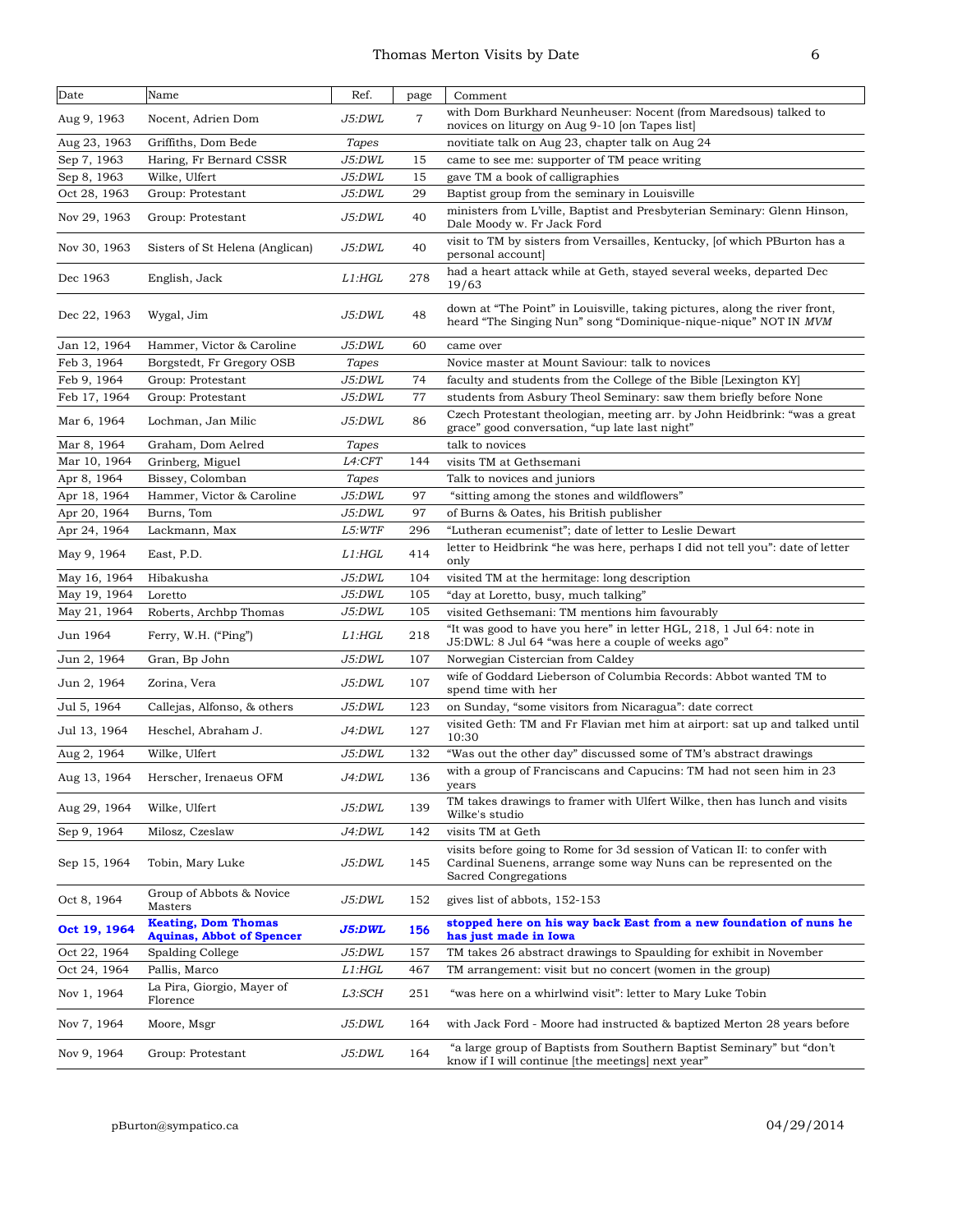| Date         | Name                                                           | Ref.                | page           | Comment                                                                                                                                                               |
|--------------|----------------------------------------------------------------|---------------------|----------------|-----------------------------------------------------------------------------------------------------------------------------------------------------------------------|
| Aug 9, 1963  | Nocent, Adrien Dom                                             | J5:DWL              | $\overline{7}$ | with Dom Burkhard Neunheuser: Nocent (from Maredsous) talked to<br>novices on liturgy on Aug 9-10 [on Tapes list]                                                     |
| Aug 23, 1963 | Griffiths, Dom Bede                                            | Tapes               |                | novitiate talk on Aug 23, chapter talk on Aug 24                                                                                                                      |
| Sep 7, 1963  | Haring, Fr Bernard CSSR                                        | J5:DWL              | 15             | came to see me: supporter of TM peace writing                                                                                                                         |
| Sep 8, 1963  | Wilke, Ulfert                                                  | J5:DWL              | 15             | gave TM a book of calligraphies                                                                                                                                       |
| Oct 28, 1963 | Group: Protestant                                              | J5:DWL              | 29             | Baptist group from the seminary in Louisville                                                                                                                         |
| Nov 29, 1963 | Group: Protestant                                              | J5:DWL              | 40             | ministers from L'ville, Baptist and Presbyterian Seminary: Glenn Hinson,<br>Dale Moody w. Fr Jack Ford                                                                |
| Nov 30, 1963 | Sisters of St Helena (Anglican)                                | J5:DWL              | 40             | visit to TM by sisters from Versailles, Kentucky, [of which PBurton has a<br>personal account                                                                         |
| Dec 1963     | English, Jack                                                  | L1:HGL              | 278            | had a heart attack while at Geth, stayed several weeks, departed Dec<br>19/63                                                                                         |
| Dec 22, 1963 | Wygal, Jim                                                     | J5:DWL              | 48             | down at "The Point" in Louisville, taking pictures, along the river front,<br>heard "The Singing Nun" song "Dominique-nique-nique" NOT IN MVM                         |
| Jan 12, 1964 | Hammer, Victor & Caroline                                      | J5:DWL              | 60             | came over                                                                                                                                                             |
| Feb 3, 1964  | Borgstedt, Fr Gregory OSB                                      | <b>Tapes</b>        |                | Novice master at Mount Saviour: talk to novices                                                                                                                       |
| Feb 9, 1964  | Group: Protestant                                              | J5:DWL              | 74             | faculty and students from the College of the Bible [Lexington KY]                                                                                                     |
| Feb 17, 1964 | Group: Protestant                                              | J5:DWL              | 77             | students from Asbury Theol Seminary: saw them briefly before None                                                                                                     |
| Mar 6, 1964  | Lochman, Jan Milic                                             | J5:DWL              | 86             | Czech Protestant theologian, meeting arr. by John Heidbrink: "was a great<br>grace" good conversation, "up late last night"                                           |
| Mar 8, 1964  | Graham, Dom Aelred                                             | Tapes               |                | talk to novices                                                                                                                                                       |
| Mar 10, 1964 | Grinberg, Miguel                                               | L <sub>4</sub> :CFT | 144            | visits TM at Gethsemani                                                                                                                                               |
| Apr 8, 1964  | Bissey, Colomban                                               | Tapes               |                | Talk to novices and juniors                                                                                                                                           |
| Apr 18, 1964 | Hammer, Victor & Caroline                                      | J5:DWL              | 97             | "sitting among the stones and wildflowers"                                                                                                                            |
| Apr 20, 1964 | Burns, Tom                                                     | J5:DWL              | 97             | of Burns & Oates, his British publisher                                                                                                                               |
| Apr 24, 1964 | Lackmann, Max                                                  | L5:WTF              | 296            | "Lutheran ecumenist"; date of letter to Leslie Dewart                                                                                                                 |
| May 9, 1964  | East, P.D.                                                     | L1:HGL              | 414            | letter to Heidbrink "he was here, perhaps I did not tell you": date of letter<br>only                                                                                 |
| May 16, 1964 | Hibakusha                                                      | J5:DWL              | 104            | visited TM at the hermitage: long description                                                                                                                         |
| May 19, 1964 | Loretto                                                        | J5:DWL              | 105            | "day at Loretto, busy, much talking"                                                                                                                                  |
| May 21, 1964 | Roberts, Archbp Thomas                                         | J5:DWL              | 105            | visited Gethsemani: TM mentions him favourably                                                                                                                        |
| Jun 1964     | Ferry, W.H. ("Ping")                                           | L1:HGL              | 218            | "It was good to have you here" in letter HGL, 218, 1 Jul 64: note in<br>J5:DWL: 8 Jul 64 "was here a couple of weeks ago"                                             |
| Jun 2, 1964  | Gran, Bp John                                                  | J5:DWL              | 107            | Norwegian Cistercian from Caldey                                                                                                                                      |
| Jun 2, 1964  | Zorina, Vera                                                   | J5:DWL              | 107            | wife of Goddard Lieberson of Columbia Records: Abbot wanted TM to<br>spend time with her                                                                              |
| Jul 5, 1964  | Callejas, Alfonso, & others                                    | J5:DWL              | 123            | on Sunday, "some visitors from Nicaragua": date correct                                                                                                               |
| Jul 13, 1964 | Heschel, Abraham J.                                            | J4:DWL              | 127            | visited Geth: TM and Fr Flavian met him at airport: sat up and talked until<br>10:30                                                                                  |
| Aug 2, 1964  | Wilke, Ulfert                                                  | J5:DWL              | 132            | "Was out the other day" discussed some of TM's abstract drawings                                                                                                      |
| Aug 13, 1964 | Herscher, Irenaeus OFM                                         | J4:DWL              | 136            | with a group of Franciscans and Capucins: TM had not seen him in 23<br>years                                                                                          |
| Aug 29, 1964 | Wilke, Ulfert                                                  | J5:DWL              | 139            | TM takes drawings to framer with Ulfert Wilke, then has lunch and visits<br>Wilke's studio                                                                            |
| Sep 9, 1964  | Milosz, Czeslaw                                                | J4:DWL              | 142            | visits TM at Geth                                                                                                                                                     |
| Sep 15, 1964 | Tobin, Mary Luke                                               | J5:DWL              | 145            | visits before going to Rome for 3d session of Vatican II: to confer with<br>Cardinal Suenens, arrange some way Nuns can be represented on the<br>Sacred Congregations |
| Oct 8, 1964  | Group of Abbots & Novice<br>Masters                            | J5:DWL              | 152            | gives list of abbots, 152-153                                                                                                                                         |
| Oct 19, 1964 | <b>Keating, Dom Thomas</b><br><b>Aquinas, Abbot of Spencer</b> | J5:DWL              | 156            | stopped here on his way back East from a new foundation of nuns he<br>has just made in Iowa                                                                           |
| Oct 22, 1964 | Spalding College                                               | J5:DWL              | 157            | TM takes 26 abstract drawings to Spaulding for exhibit in November                                                                                                    |
| Oct 24, 1964 | Pallis, Marco                                                  | L1:HGL              | 467            | TM arrangement: visit but no concert (women in the group)                                                                                                             |
| Nov 1, 1964  | La Pira, Giorgio, Mayer of<br>Florence                         | L3:SCH              | 251            | "was here on a whirlwind visit": letter to Mary Luke Tobin                                                                                                            |
| Nov 7, 1964  | Moore, Msgr                                                    | J5:DWL              | 164            | with Jack Ford - Moore had instructed & baptized Merton 28 years before                                                                                               |
| Nov 9, 1964  | Group: Protestant                                              | J5:DWL              | 164            | "a large group of Baptists from Southern Baptist Seminary" but "don't<br>know if I will continue [the meetings] next year"                                            |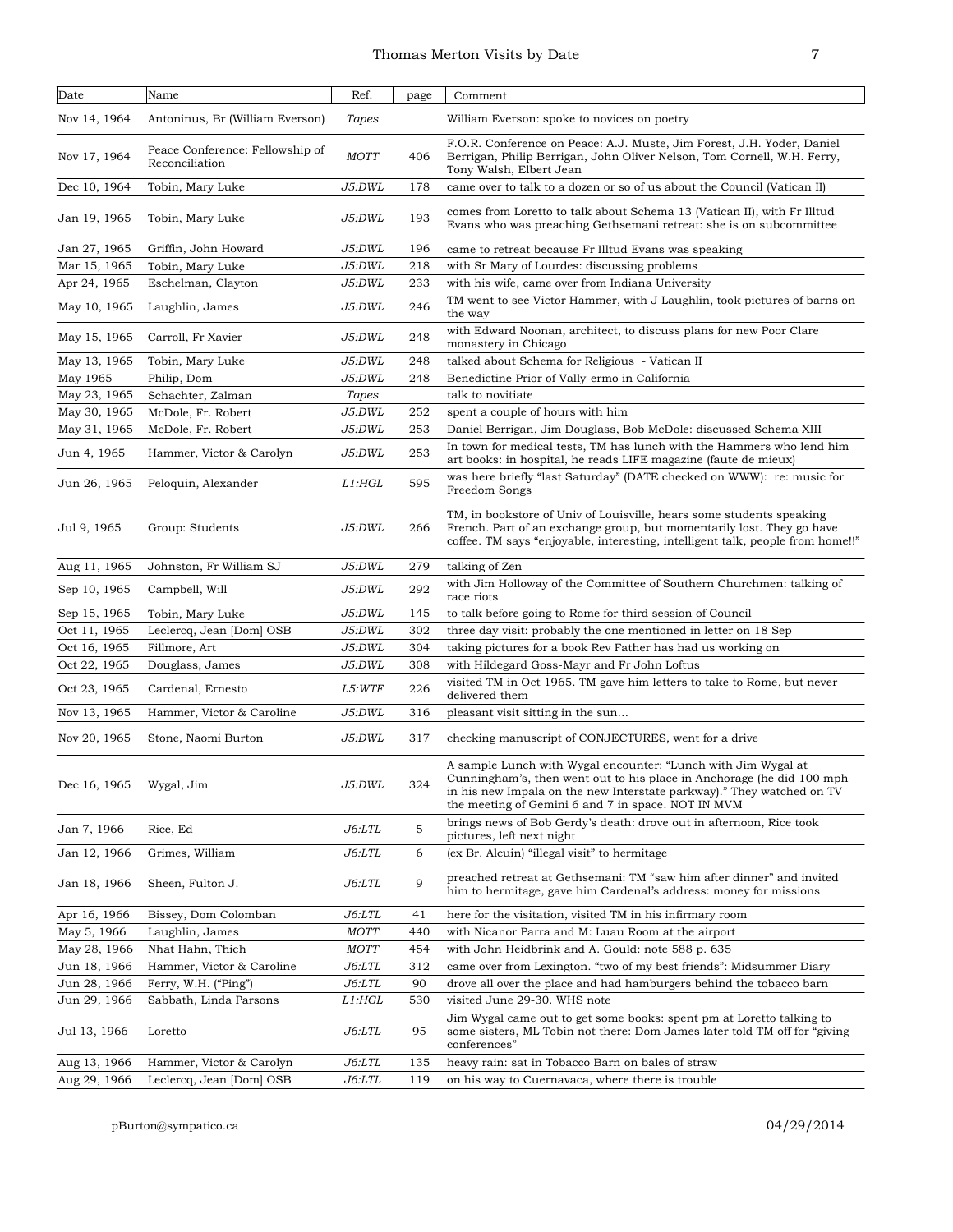## Thomas Merton Visits by Date 7

| Date         | Name                                              | Ref.          | page | Comment                                                                                                                                                                                                                                                               |
|--------------|---------------------------------------------------|---------------|------|-----------------------------------------------------------------------------------------------------------------------------------------------------------------------------------------------------------------------------------------------------------------------|
| Nov 14, 1964 | Antoninus, Br (William Everson)                   | Tapes         |      | William Everson: spoke to novices on poetry                                                                                                                                                                                                                           |
| Nov 17, 1964 | Peace Conference: Fellowship of<br>Reconciliation | <b>MOTT</b>   | 406  | F.O.R. Conference on Peace: A.J. Muste, Jim Forest, J.H. Yoder, Daniel<br>Berrigan, Philip Berrigan, John Oliver Nelson, Tom Cornell, W.H. Ferry,<br>Tony Walsh, Elbert Jean                                                                                          |
| Dec 10, 1964 | Tobin, Mary Luke                                  | J5:DWL        | 178  | came over to talk to a dozen or so of us about the Council (Vatican II)                                                                                                                                                                                               |
| Jan 19, 1965 | Tobin, Mary Luke                                  | J5:DWL        | 193  | comes from Loretto to talk about Schema 13 (Vatican II), with Fr Illtud<br>Evans who was preaching Gethsemani retreat: she is on subcommittee                                                                                                                         |
| Jan 27, 1965 | Griffin, John Howard                              | J5:DWL        | 196  | came to retreat because Fr Illtud Evans was speaking                                                                                                                                                                                                                  |
| Mar 15, 1965 | Tobin, Mary Luke                                  | J5:DWL        | 218  | with Sr Mary of Lourdes: discussing problems                                                                                                                                                                                                                          |
| Apr 24, 1965 | Eschelman, Clayton                                | J5:DWL        | 233  | with his wife, came over from Indiana University                                                                                                                                                                                                                      |
| May 10, 1965 | Laughlin, James                                   | J5:DWL        | 246  | TM went to see Victor Hammer, with J Laughlin, took pictures of barns on<br>the way                                                                                                                                                                                   |
| May 15, 1965 | Carroll, Fr Xavier                                | J5:DWL        | 248  | with Edward Noonan, architect, to discuss plans for new Poor Clare<br>monastery in Chicago                                                                                                                                                                            |
| May 13, 1965 | Tobin, Mary Luke                                  | J5:DWL        | 248  | talked about Schema for Religious - Vatican II                                                                                                                                                                                                                        |
| May 1965     | Philip, Dom                                       | J5:DWL        | 248  | Benedictine Prior of Vally-ermo in California                                                                                                                                                                                                                         |
| May 23, 1965 | Schachter, Zalman                                 | Tapes         |      | talk to novitiate                                                                                                                                                                                                                                                     |
| May 30, 1965 | McDole, Fr. Robert                                | J5:DWL        | 252  | spent a couple of hours with him                                                                                                                                                                                                                                      |
| May 31, 1965 | McDole, Fr. Robert                                | J5:DWL        | 253  | Daniel Berrigan, Jim Douglass, Bob McDole: discussed Schema XIII                                                                                                                                                                                                      |
| Jun 4, 1965  | Hammer, Victor & Carolyn                          | J5:DWL        | 253  | In town for medical tests, TM has lunch with the Hammers who lend him<br>art books: in hospital, he reads LIFE magazine (faute de mieux)                                                                                                                              |
| Jun 26, 1965 | Peloquin, Alexander                               | L1:HGL        | 595  | was here briefly "last Saturday" (DATE checked on WWW): re: music for<br>Freedom Songs                                                                                                                                                                                |
| Jul 9, 1965  | Group: Students                                   | J5:DWL        | 266  | TM, in bookstore of Univ of Louisville, hears some students speaking<br>French. Part of an exchange group, but momentarily lost. They go have<br>coffee. TM says "enjoyable, interesting, intelligent talk, people from home!!"                                       |
| Aug 11, 1965 | Johnston, Fr William SJ                           | J5:DWL        | 279  | talking of Zen                                                                                                                                                                                                                                                        |
| Sep 10, 1965 | Campbell, Will                                    | J5:DWL        | 292  | with Jim Holloway of the Committee of Southern Churchmen: talking of<br>race riots                                                                                                                                                                                    |
| Sep 15, 1965 | Tobin, Mary Luke                                  | J5:DWL        | 145  | to talk before going to Rome for third session of Council                                                                                                                                                                                                             |
| Oct 11, 1965 | Leclercq, Jean [Dom] OSB                          | J5:DWL        | 302  | three day visit: probably the one mentioned in letter on 18 Sep                                                                                                                                                                                                       |
| Oct 16, 1965 | Fillmore, Art                                     | J5:DWL        | 304  | taking pictures for a book Rev Father has had us working on                                                                                                                                                                                                           |
| Oct 22, 1965 | Douglass, James                                   | J5:DWL        | 308  | with Hildegard Goss-Mayr and Fr John Loftus                                                                                                                                                                                                                           |
| Oct 23, 1965 | Cardenal, Ernesto                                 | L5:WTF        | 226  | visited TM in Oct 1965. TM gave him letters to take to Rome, but never<br>delivered them                                                                                                                                                                              |
| Nov 13, 1965 | Hammer, Victor & Caroline                         | J5:DWL        | 316  | pleasant visit sitting in the sun                                                                                                                                                                                                                                     |
| Nov 20, 1965 | Stone, Naomi Burton                               | J5:DWL        | 317  | checking manuscript of CONJECTURES, went for a drive                                                                                                                                                                                                                  |
| Dec 16, 1965 | Wygal, Jim                                        | <i>J5:DWL</i> | 324  | A sample Lunch with Wygal encounter: "Lunch with Jim Wygal at<br>Cunningham's, then went out to his place in Anchorage (he did 100 mph<br>in his new Impala on the new Interstate parkway)." They watched on TV<br>the meeting of Gemini 6 and 7 in space. NOT IN MVM |
| Jan 7, 1966  | Rice, Ed                                          | <i>J6:LTL</i> | 5    | brings news of Bob Gerdy's death: drove out in afternoon, Rice took<br>pictures, left next night                                                                                                                                                                      |
| Jan 12, 1966 | Grimes, William                                   | J6:LTL        | 6    | (ex Br. Alcuin) "illegal visit" to hermitage                                                                                                                                                                                                                          |
| Jan 18, 1966 | Sheen, Fulton J.                                  | <i>J6:LTL</i> | 9    | preached retreat at Gethsemani: TM "saw him after dinner" and invited<br>him to hermitage, gave him Cardenal's address: money for missions                                                                                                                            |
| Apr 16, 1966 | Bissey, Dom Colomban                              | $J6:$ LTL     | 41   | here for the visitation, visited TM in his infirmary room                                                                                                                                                                                                             |
| May 5, 1966  | Laughlin, James                                   | <b>MOTT</b>   | 440  | with Nicanor Parra and M: Luau Room at the airport                                                                                                                                                                                                                    |
| May 28, 1966 | Nhat Hahn, Thich                                  | <b>MOTT</b>   | 454  | with John Heidbrink and A. Gould: note 588 p. 635                                                                                                                                                                                                                     |
| Jun 18, 1966 | Hammer, Victor & Caroline                         | <i>J6:LTL</i> | 312  | came over from Lexington. "two of my best friends": Midsummer Diary                                                                                                                                                                                                   |
| Jun 28, 1966 | Ferry, W.H. ("Ping")                              | <i>J6:LTL</i> | 90   | drove all over the place and had hamburgers behind the tobacco barn                                                                                                                                                                                                   |
| Jun 29, 1966 | Sabbath, Linda Parsons                            | L1:HGL        | 530  | visited June 29-30. WHS note                                                                                                                                                                                                                                          |
| Jul 13, 1966 | Loretto                                           | <i>J6:LTL</i> | 95   | Jim Wygal came out to get some books: spent pm at Loretto talking to<br>some sisters, ML Tobin not there: Dom James later told TM off for "giving"<br>conferences"                                                                                                    |
| Aug 13, 1966 | Hammer, Victor & Carolyn                          | J6:LTL        | 135  | heavy rain: sat in Tobacco Barn on bales of straw                                                                                                                                                                                                                     |
| Aug 29, 1966 | Leclercq, Jean [Dom] OSB                          | J6:LTL        | 119  | on his way to Cuernavaca, where there is trouble.                                                                                                                                                                                                                     |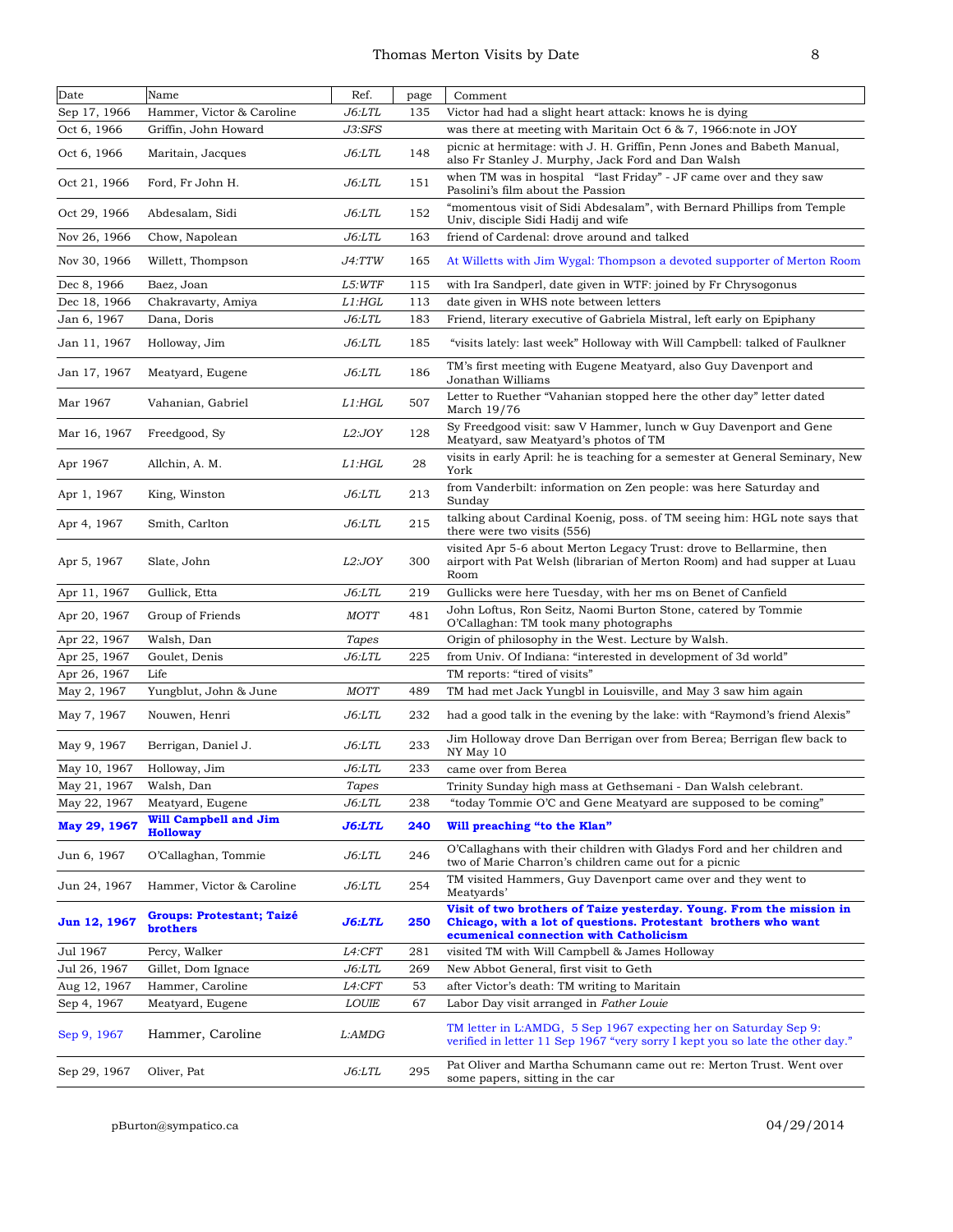## Thomas Merton Visits by Date 8

| ٦<br>v |   |    |  |
|--------|---|----|--|
|        | I | ۰, |  |

| Date         | Name                                            | Ref.          | page | Comment                                                                                                                                                                          |
|--------------|-------------------------------------------------|---------------|------|----------------------------------------------------------------------------------------------------------------------------------------------------------------------------------|
| Sep 17, 1966 | Hammer, Victor & Caroline                       | J6: LTL       | 135  | Victor had had a slight heart attack: knows he is dying                                                                                                                          |
| Oct 6, 1966  | Griffin, John Howard                            | J3:SFS        |      | was there at meeting with Maritain Oct 6 & 7, 1966: note in JOY                                                                                                                  |
| Oct 6, 1966  | Maritain, Jacques                               | J6: LTL       | 148  | picnic at hermitage: with J. H. Griffin, Penn Jones and Babeth Manual,<br>also Fr Stanley J. Murphy, Jack Ford and Dan Walsh                                                     |
| Oct 21, 1966 | Ford, Fr John H.                                | <i>J6:LTL</i> | 151  | when TM was in hospital "last Friday" - JF came over and they saw<br>Pasolini's film about the Passion                                                                           |
| Oct 29, 1966 | Abdesalam, Sidi                                 | $J6:$ LTL     | 152  | "momentous visit of Sidi Abdesalam", with Bernard Phillips from Temple<br>Univ, disciple Sidi Hadij and wife                                                                     |
| Nov 26, 1966 | Chow, Napolean                                  | $J6:$ LTL     | 163  | friend of Cardenal: drove around and talked                                                                                                                                      |
| Nov 30, 1966 | Willett, Thompson                               | J4:TTW        | 165  | At Willetts with Jim Wygal: Thompson a devoted supporter of Merton Room                                                                                                          |
| Dec 8, 1966  | Baez, Joan                                      | L5:WTF        | 115  | with Ira Sandperl, date given in WTF: joined by Fr Chrysogonus                                                                                                                   |
| Dec 18, 1966 | Chakravarty, Amiya                              | L1:HGL        | 113  | date given in WHS note between letters                                                                                                                                           |
| Jan 6, 1967  | Dana, Doris                                     | J6: LTL       | 183  | Friend, literary executive of Gabriela Mistral, left early on Epiphany                                                                                                           |
| Jan 11, 1967 | Holloway, Jim                                   | <i>J6:LTL</i> | 185  | "visits lately: last week" Holloway with Will Campbell: talked of Faulkner                                                                                                       |
| Jan 17, 1967 | Meatyard, Eugene                                | <i>J6:LTL</i> | 186  | TM's first meeting with Eugene Meatyard, also Guy Davenport and<br>Jonathan Williams                                                                                             |
| Mar 1967     | Vahanian, Gabriel                               | L1:HGL        | 507  | Letter to Ruether "Vahanian stopped here the other day" letter dated<br>March 19/76                                                                                              |
| Mar 16, 1967 | Freedgood, Sy                                   | L2:JOY        | 128  | Sy Freedgood visit: saw V Hammer, lunch w Guy Davenport and Gene<br>Meatyard, saw Meatyard's photos of TM                                                                        |
| Apr 1967     | Allchin, A. M.                                  | L1:HGL        | 28   | visits in early April: he is teaching for a semester at General Seminary, New<br>York                                                                                            |
| Apr 1, 1967  | King, Winston                                   | $J6:$ LTL     | 213  | from Vanderbilt: information on Zen people: was here Saturday and<br>Sundav                                                                                                      |
| Apr 4, 1967  | Smith, Carlton                                  | J6:LTL        | 215  | talking about Cardinal Koenig, poss. of TM seeing him: HGL note says that<br>there were two visits (556)                                                                         |
| Apr 5, 1967  | Slate, John                                     | L2:JOY        | 300  | visited Apr 5-6 about Merton Legacy Trust: drove to Bellarmine, then<br>airport with Pat Welsh (librarian of Merton Room) and had supper at Luau<br>Room                         |
| Apr 11, 1967 | Gullick, Etta                                   | $J6:$ LTL     | 219  | Gullicks were here Tuesday, with her ms on Benet of Canfield                                                                                                                     |
| Apr 20, 1967 | Group of Friends                                | MOTT          | 481  | John Loftus, Ron Seitz, Naomi Burton Stone, catered by Tommie<br>O'Callaghan: TM took many photographs                                                                           |
| Apr 22, 1967 | Walsh, Dan                                      | Tapes         |      | Origin of philosophy in the West. Lecture by Walsh.                                                                                                                              |
| Apr 25, 1967 | Goulet, Denis                                   | $J6:$ LTL     | 225  | from Univ. Of Indiana: "interested in development of 3d world"                                                                                                                   |
| Apr 26, 1967 | Life                                            |               |      | TM reports: "tired of visits"                                                                                                                                                    |
| May 2, 1967  | Yungblut, John & June                           | <b>MOTT</b>   | 489  | TM had met Jack Yungbl in Louisville, and May 3 saw him again                                                                                                                    |
| May 7, 1967  | Nouwen, Henri                                   | <i>J6:LTL</i> | 232  | had a good talk in the evening by the lake: with "Raymond's friend Alexis"                                                                                                       |
| May 9, 1967  | Berrigan, Daniel J.                             | <i>J6:LTL</i> | 233  | Jim Holloway drove Dan Berrigan over from Berea; Berrigan flew back to<br>NY May 10                                                                                              |
| May 10, 1967 | Holloway, Jim                                   | $J6:$ LTL     | 233  | came over from Berea                                                                                                                                                             |
| May 21, 1967 | Walsh, Dan                                      | Tapes         |      | Trinity Sunday high mass at Gethsemani - Dan Walsh celebrant.                                                                                                                    |
| May 22, 1967 | Meatyard, Eugene                                | <i>J6:LTL</i> | 238  | "today Tommie O'C and Gene Meatyard are supposed to be coming"                                                                                                                   |
| May 29, 1967 | <b>Will Campbell and Jim</b><br><b>Holloway</b> | <b>J6:LTL</b> | 240  | Will preaching "to the Klan"                                                                                                                                                     |
| Jun 6, 1967  | O'Callaghan, Tommie                             | <i>J6:LTL</i> | 246  | O'Callaghans with their children with Gladys Ford and her children and<br>two of Marie Charron's children came out for a picnic                                                  |
| Jun 24, 1967 | Hammer, Victor & Caroline                       | <i>J6:LTL</i> | 254  | TM visited Hammers, Guy Davenport came over and they went to<br>Meatyards'                                                                                                       |
| Jun 12, 1967 | Groups: Protestant; Taizé<br>brothers           | J6:LTL        | 250  | Visit of two brothers of Taize yesterday. Young. From the mission in<br>Chicago, with a lot of questions. Protestant brothers who want<br>ecumenical connection with Catholicism |
| Jul 1967     | Percy, Walker                                   | <i>L4:CFT</i> | 281  | visited TM with Will Campbell & James Holloway                                                                                                                                   |
| Jul 26, 1967 | Gillet, Dom Ignace                              | <i>J6:LTL</i> | 269  | New Abbot General, first visit to Geth                                                                                                                                           |
| Aug 12, 1967 | Hammer, Caroline                                | L4:CFT        | 53   | after Victor's death: TM writing to Maritain                                                                                                                                     |
| Sep 4, 1967  | Meatyard, Eugene                                | LOUIE         | 67   | Labor Day visit arranged in Father Louie                                                                                                                                         |
| Sep 9, 1967  | Hammer, Caroline                                | L:AMDG        |      | TM letter in L:AMDG, 5 Sep 1967 expecting her on Saturday Sep 9:<br>verified in letter 11 Sep 1967 "very sorry I kept you so late the other day."                                |
| Sep 29, 1967 | Oliver, Pat                                     | J6:LTL        | 295  | Pat Oliver and Martha Schumann came out re: Merton Trust. Went over<br>some papers, sitting in the car                                                                           |

pBurton@sympatico.ca 04/29/2014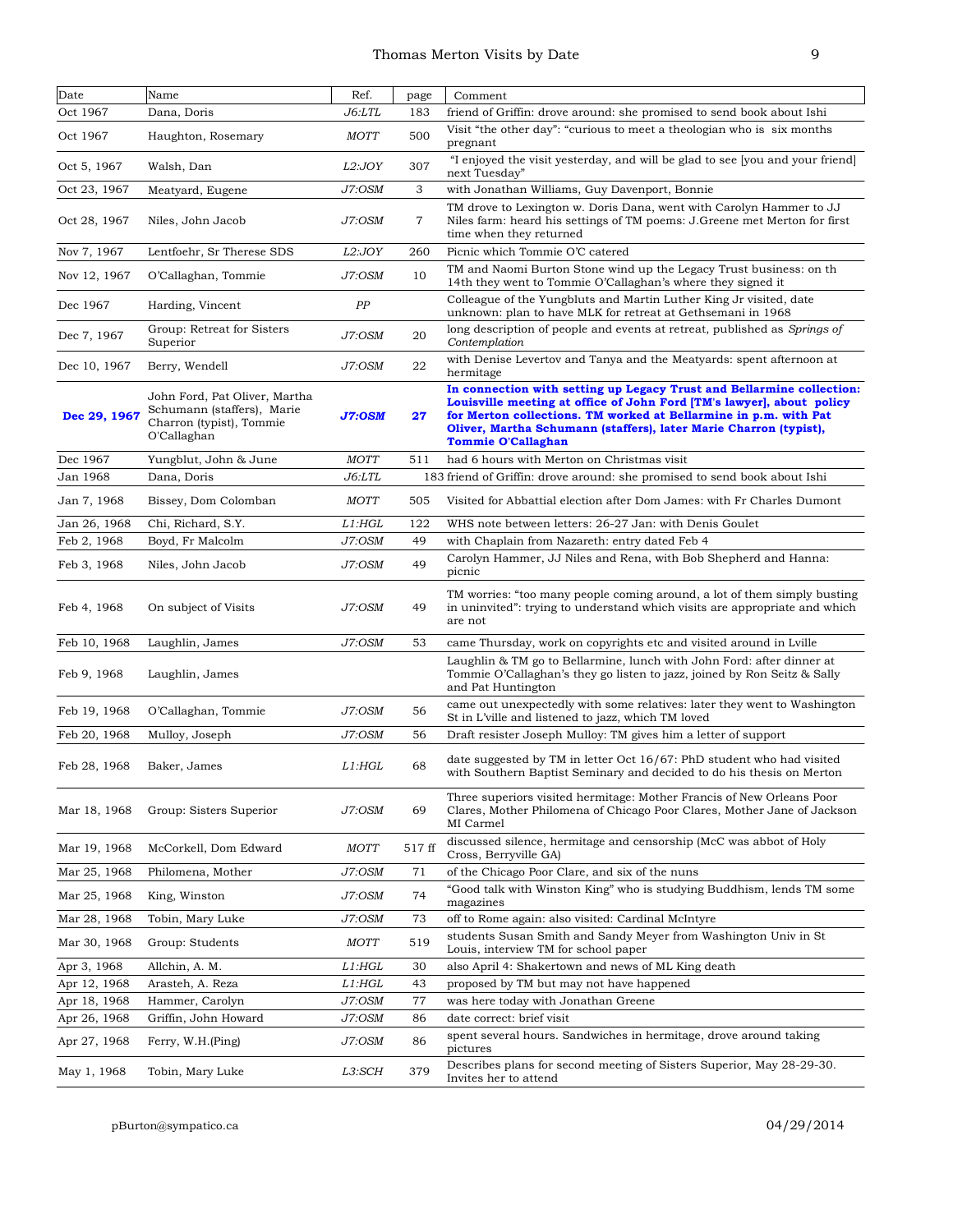| Date                         | Name                                                                                                   | Ref.             | page     | Comment                                                                                                                                                                                                                                                                                                              |
|------------------------------|--------------------------------------------------------------------------------------------------------|------------------|----------|----------------------------------------------------------------------------------------------------------------------------------------------------------------------------------------------------------------------------------------------------------------------------------------------------------------------|
| Oct 1967                     | Dana, Doris                                                                                            | J6: LTL          | 183      | friend of Griffin: drove around: she promised to send book about Ishi                                                                                                                                                                                                                                                |
| Oct 1967                     | Haughton, Rosemary                                                                                     | <b>MOTT</b>      | 500      | Visit "the other day": "curious to meet a theologian who is six months<br>pregnant                                                                                                                                                                                                                                   |
| Oct 5, 1967                  | Walsh, Dan                                                                                             | L2:JOY           | 307      | "I enjoyed the visit yesterday, and will be glad to see [you and your friend]<br>next Tuesday"                                                                                                                                                                                                                       |
| Oct 23, 1967                 | Meatyard, Eugene                                                                                       | J7:OSM           | 3        | with Jonathan Williams, Guy Davenport, Bonnie                                                                                                                                                                                                                                                                        |
| Oct 28, 1967                 | Niles, John Jacob                                                                                      | J7:OSM           | 7        | TM drove to Lexington w. Doris Dana, went with Carolyn Hammer to JJ<br>Niles farm: heard his settings of TM poems: J. Greene met Merton for first<br>time when they returned                                                                                                                                         |
| Nov 7, 1967                  | Lentfoehr, Sr Therese SDS                                                                              | L2:JOY           | 260      | Picnic which Tommie O'C catered                                                                                                                                                                                                                                                                                      |
| Nov 12, 1967                 | O'Callaghan, Tommie                                                                                    | J7:OSM           | 10       | TM and Naomi Burton Stone wind up the Legacy Trust business: on th<br>14th they went to Tommie O'Callaghan's where they signed it                                                                                                                                                                                    |
| Dec 1967                     | Harding, Vincent                                                                                       | PP               |          | Colleague of the Yungbluts and Martin Luther King Jr visited, date<br>unknown: plan to have MLK for retreat at Gethsemani in 1968                                                                                                                                                                                    |
| Dec 7, 1967                  | Group: Retreat for Sisters<br>Superior                                                                 | J7:OSM           | 20       | long description of people and events at retreat, published as <i>Springs of</i><br>Contemplation                                                                                                                                                                                                                    |
| Dec 10, 1967                 | Berry, Wendell                                                                                         | J7:OSM           | 22       | with Denise Levertov and Tanya and the Meatyards: spent afternoon at<br>hermitage                                                                                                                                                                                                                                    |
| Dec 29, 1967                 | John Ford, Pat Oliver, Martha<br>Schumann (staffers), Marie<br>Charron (typist), Tommie<br>O'Callaghan | <b>J7:OSM</b>    | 27       | In connection with setting up Legacy Trust and Bellarmine collection:<br>Louisville meeting at office of John Ford [TM's lawyer], about policy<br>for Merton collections. TM worked at Bellarmine in p.m. with Pat<br>Oliver, Martha Schumann (staffers), later Marie Charron (typist),<br><b>Tommie O'Callaghan</b> |
| Dec 1967                     | Yungblut, John & June                                                                                  | <b>MOTT</b>      | 511      | had 6 hours with Merton on Christmas visit                                                                                                                                                                                                                                                                           |
| Jan 1968                     | Dana, Doris                                                                                            | J6: LTL          |          | 183 friend of Griffin: drove around: she promised to send book about Ishi                                                                                                                                                                                                                                            |
| Jan 7, 1968                  | Bissey, Dom Colomban                                                                                   | <b>MOTT</b>      | 505      | Visited for Abbattial election after Dom James: with Fr Charles Dumont                                                                                                                                                                                                                                               |
| Jan 26, 1968                 | Chi, Richard, S.Y.                                                                                     | L1:HGL           | 122      | WHS note between letters: 26-27 Jan: with Denis Goulet                                                                                                                                                                                                                                                               |
| Feb 2, 1968                  | Boyd, Fr Malcolm                                                                                       | J7:OSM           | 49       | with Chaplain from Nazareth: entry dated Feb 4                                                                                                                                                                                                                                                                       |
| Feb 3, 1968                  | Niles, John Jacob                                                                                      | J7:OSM           | 49       | Carolyn Hammer, JJ Niles and Rena, with Bob Shepherd and Hanna:<br>picnic                                                                                                                                                                                                                                            |
| Feb 4, 1968                  | On subject of Visits                                                                                   | J7:OSM           | 49       | TM worries: "too many people coming around, a lot of them simply busting<br>in uninvited": trying to understand which visits are appropriate and which<br>are not                                                                                                                                                    |
| Feb 10, 1968                 | Laughlin, James                                                                                        | J7:OSM           | 53       | came Thursday, work on copyrights etc and visited around in Lville                                                                                                                                                                                                                                                   |
| Feb 9, 1968                  | Laughlin, James                                                                                        |                  |          | Laughlin & TM go to Bellarmine, lunch with John Ford: after dinner at<br>Tommie O'Callaghan's they go listen to jazz, joined by Ron Seitz & Sally<br>and Pat Huntington                                                                                                                                              |
| Feb 19, 1968                 | O'Callaghan, Tommie                                                                                    | J7:OSM           | 56       | came out unexpectedly with some relatives: later they went to Washington<br>St in L'ville and listened to jazz, which TM loved                                                                                                                                                                                       |
| Feb 20, 1968                 | Mulloy, Joseph                                                                                         | J7:OSM           | 56       | Draft resister Joseph Mulloy: TM gives him a letter of support                                                                                                                                                                                                                                                       |
| Feb 28, 1968                 | Baker, James                                                                                           | $L1:$ HGL        | 68       | date suggested by TM in letter Oct $16/67$ : PhD student who had visited<br>with Southern Baptist Seminary and decided to do his thesis on Merton                                                                                                                                                                    |
| Mar 18, 1968                 | Group: Sisters Superior                                                                                | J7:OSM           | 69       | Three superiors visited hermitage: Mother Francis of New Orleans Poor<br>Clares, Mother Philomena of Chicago Poor Clares, Mother Jane of Jackson<br>MI Carmel                                                                                                                                                        |
| Mar 19, 1968                 | McCorkell, Dom Edward                                                                                  | <b>MOTT</b>      | 517 ff   | discussed silence, hermitage and censorship (McC was abbot of Holy<br>Cross, Berryville GA)                                                                                                                                                                                                                          |
| Mar 25, 1968                 | Philomena, Mother                                                                                      | J7:OSM           | 71       | of the Chicago Poor Clare, and six of the nuns                                                                                                                                                                                                                                                                       |
| Mar 25, 1968                 | King, Winston                                                                                          | J7:OSM           | 74       | "Good talk with Winston King" who is studying Buddhism, lends TM some<br>magazines                                                                                                                                                                                                                                   |
| Mar 28, 1968                 | Tobin, Mary Luke                                                                                       | J7:OSM           | 73       | off to Rome again: also visited: Cardinal McIntyre                                                                                                                                                                                                                                                                   |
| Mar 30, 1968                 | Group: Students                                                                                        | <b>MOTT</b>      | 519      | students Susan Smith and Sandy Meyer from Washington Univ in St<br>Louis, interview TM for school paper                                                                                                                                                                                                              |
| Apr 3, 1968                  | Allchin, A. M.                                                                                         | L1:HGL           | 30       | also April 4: Shakertown and news of ML King death                                                                                                                                                                                                                                                                   |
| Apr 12, 1968                 | Arasteh, A. Reza                                                                                       | L1: HGL          | 43       | proposed by TM but may not have happened                                                                                                                                                                                                                                                                             |
| Apr 18, 1968                 | Hammer, Carolyn                                                                                        | J7:OSM           | 77       | was here today with Jonathan Greene                                                                                                                                                                                                                                                                                  |
| Apr 26, 1968<br>Apr 27, 1968 | Griffin, John Howard<br>Ferry, W.H. (Ping)                                                             | J7:OSM<br>J7:OSM | 86<br>86 | date correct: brief visit<br>spent several hours. Sandwiches in hermitage, drove around taking                                                                                                                                                                                                                       |
| May 1, 1968                  | Tobin, Mary Luke                                                                                       | L3:SCH           | 379      | pictures<br>Describes plans for second meeting of Sisters Superior, May 28-29-30.<br>Invites her to attend                                                                                                                                                                                                           |